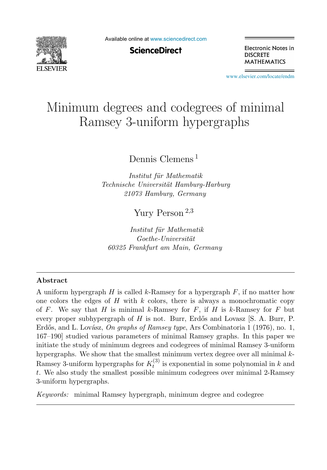

Available online at [www.sciencedirect.com](http://www.sciencedirect.com)

**ScienceDirect** 

Electronic Notes in **DISCRETE MATHEMATICS** 

[www.elsevier.com/locate/endm](http://www.elsevier.com/locate/endm)

# Minimum degrees and codegrees of minimal Ramsey 3-uniform hypergraphs

Dennis Clemens <sup>1</sup>

Institut für Mathematik Technische Universität Hamburg-Harburg 21073 Hamburg, Germany

Yury Person <sup>2</sup>,<sup>3</sup>

Institut für Mathematik  $Goethe-Universität$ 60325 Frankfurt am Main, Germany

#### **Abstract**

A uniform hypergraph H is called k-Ramsey for a hypergraph  $F$ , if no matter how one colors the edges of  $H$  with  $k$  colors, there is always a monochromatic copy of F. We say that H is minimal k-Ramsey for F, if H is k-Ramsey for F but every proper subhypergraph of  $H$  is not. Burr, Erdős and Lovasz  $[S, A, Burr, P]$ . Erdős, and L. Lovász, On graphs of Ramsey type, Ars Combinatoria 1 (1976), no. 1, 167–190] studied various parameters of minimal Ramsey graphs. In this paper we initiate the study of minimum degrees and codegrees of minimal Ramsey 3-uniform hypergraphs. We show that the smallest minimum vertex degree over all minimal  $k$ -Ramsey 3-uniform hypergraphs for  $K_t^{(3)}$  is exponential in some polynomial in k and t. We also study the smallest possible minimum codegrees over minimal 2-Ramsey 3-uniform hypergraphs.

Keywords: minimal Ramsey hypergraph, minimum degree and codegree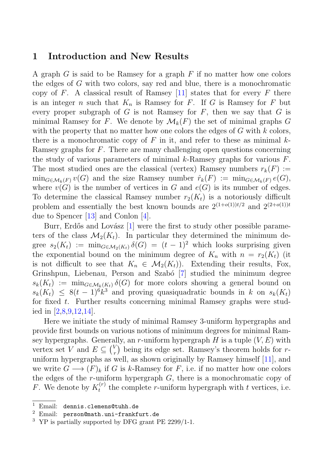### **1 Introduction and New Results**

A graph  $G$  is said to be Ramsey for a graph  $F$  if no matter how one colors the edges of G with two colors, say red and blue, there is a monochromatic copy of F. A classical result of Ramsey [11] states that for every F there is an integer n such that  $K_n$  is Ramsey for F. If G is Ramsey for F but every proper subgraph of G is not Ramsey for  $F$ , then we say that  $G$  is minimal Ramsey for F. We denote by  $\mathcal{M}_k(F)$  the set of minimal graphs G with the property that no matter how one colors the edges of  $G$  with  $k$  colors, there is a monochromatic copy of  $F$  in it, and refer to these as minimal  $k$ -Ramsey graphs for F. There are many challenging open questions concerning the study of various parameters of minimal k-Ramsey graphs for various  $F$ . The most studied ones are the classical (vertex) Ramsey numbers  $r_k(F) :=$  $\min_{G \in \mathcal{M}_k(F)} v(G)$  and the size Ramsey number  $\hat{r}_k(F) := \min_{G \in \mathcal{M}_k(F)} e(G)$ , where  $v(G)$  is the number of vertices in G and  $e(G)$  is its number of edges. To determine the classical Ramsey number  $r_2(K_t)$  is a notoriously difficult problem and essentially the best known bounds are  $2^{(1+o(1))t/2}$  and  $2^{(2+o(1))t}$ due to Spencer [13] and Conlon [4].

Burr, Erdős and Lovász  $[1]$  were the first to study other possible parameters of the class  $\mathcal{M}_2(K_t)$ . In particular they determined the minimum degree  $s_2(K_t) := \min_{G \in \mathcal{M}_2(K_t)} \delta(G) = (t - 1)^2$  which looks surprising given the exponential bound on the minimum degree of  $K_n$  with  $n = r_2(K_t)$  (it is not difficult to see that  $K_n \in \mathcal{M}_2(K_t)$ . Extending their results, Fox, Grinshpun, Liebenau, Person and Szabó [7] studied the minimum degree  $s_k(K_t) := \min_{G \in \mathcal{M}_k(K_t)} \delta(G)$  for more colors showing a general bound on  $s_k(K_t) \leq 8(t-1)^6k^3$  and proving quasiquadratic bounds in k on  $s_k(K_t)$ for fixed t. Further results concerning minimal Ramsey graphs were studied in  $[2,8,9,12,14]$ .

Here we initiate the study of minimal Ramsey 3-uniform hypergraphs and provide first bounds on various notions of minimum degrees for minimal Ramsey hypergraphs. Generally, an r-uniform hypergraph  $H$  is a tuple  $(V, E)$  with vertex set V and  $E \subseteq {V \choose r}$  $r(r)$  being its edge set. Ramsey's theorem holds for runiform hypergraphs as well, as shown originally by Ramsey himself [11], and we write  $G \longrightarrow (F)_k$  if G is k-Ramsey for F, i.e. if no matter how one colors the edges of the  $r$ -uniform hypergraph  $G$ , there is a monochromatic copy of F. We denote by  $K_t^{(r)}$  the complete r-uniform hypergraph with t vertices, i.e.

<sup>1</sup> Email: dennis.clemens@tuhh.de

<sup>2</sup> Email: person@math.uni-frankfurt.de

<sup>3</sup> YP is partially supported by DFG grant PE 2299/1-1.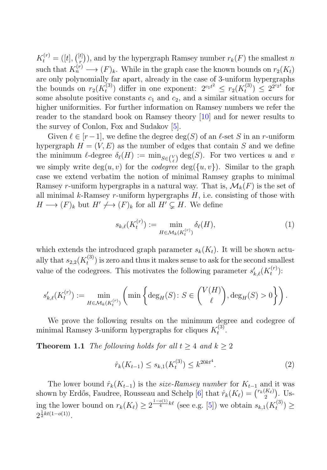$K_t^{(r)} = ([t],\binom{[t]}{r}$  $\binom{[t]}{r}$ , and by the hypergraph Ramsey number  $r_k(F)$  the smallest n such that  $K_n^{(r)} \longrightarrow (F)_k$ . While in the graph case the known bounds on  $r_2(K_t)$ are only polynomially far apart, already in the case of 3-uniform hypergraphs the bounds on  $r_2(K_t^{(3)})$  differ in one exponent:  $2^{c_1t^2} \leq r_2(K_t^{(3)}) \leq 2^{2^{c_2 t}}$  for some absolute positive constants  $c_1$  and  $c_2$ , and a similar situation occurs for higher uniformities. For further information on Ramsey numbers we refer the reader to the standard book on Ramsey theory [10] and for newer results to the survey of Conlon, Fox and Sudakov [5].

Given  $\ell \in [r-1]$ , we define the degree  $\deg(S)$  of an  $\ell$ -set S in an r-uniform hypergraph  $H = (V, E)$  as the number of edges that contain S and we define the minimum  $\ell$ -degree  $\delta_{\ell}(H) := \min_{S \in {V \choose \ell}} \deg(S)$ . For two vertices u and v we simply write  $deg(u, v)$  for the *codegree*  $deg({u, v})$ . Similar to the graph case we extend verbatim the notion of minimal Ramsey graphs to minimal Ramsey r-uniform hypergraphs in a natural way. That is,  $\mathcal{M}_k(F)$  is the set of all minimal  $k$ -Ramsey r-uniform hypergraphs  $H$ , i.e. consisting of those with  $H \longrightarrow (F)_k$  but  $H' \longrightarrow (F)_k$  for all  $H' \subsetneq H$ . We define

$$
s_{k,\ell}(K_t^{(r)}) := \min_{H \in \mathcal{M}_k(K_t^{(r)})} \delta_{\ell}(H),\tag{1}
$$

which extends the introduced graph parameter  $s_k(K_t)$ . It will be shown actually that  $s_{2,2}(K_t^{(3)})$  is zero and thus it makes sense to ask for the second smallest value of the codegrees. This motivates the following parameter  $s'_{k,\ell}(K_t^{(r)})$ :

$$
s'_{k,\ell}(K_t^{(r)}) := \min_{H \in \mathcal{M}_k(K_t^{(r)})} \left( \min \left\{ \deg_H(S) \colon S \in \binom{V(H)}{\ell}, \deg_H(S) > 0 \right\} \right).
$$

We prove the following results on the minimum degree and codegree of minimal Ramsey 3-uniform hypergraphs for cliques  $K_t^{(3)}$ .

**Theorem 1.1** The following holds for all  $t \geq 4$  and  $k \geq 2$ 

$$
\hat{r}_k(K_{t-1}) \le s_{k,1}(K_t^{(3)}) \le k^{20kt^4}.\tag{2}
$$

The lower bound  $\hat{r}_k(K_{t-1})$  is the *size-Ramsey number* for  $K_{t-1}$  and it was shown by Erdős, Faudree, Rousseau and Schelp [6] that  $\hat{r}_k(K_\ell) = \binom{r_k(K_\ell)}{2}$  $\binom{K_{\ell}}{2}$ . Using the lower bound on  $r_k(K_\ell) \geq 2^{\frac{1-o(1)}{4}k\ell}$  (see e.g. [5]) we obtain  $s_{k,1}(K_t^{(3)}) \geq$  $2^{\frac{1}{2}kt(1-o(1))}$ .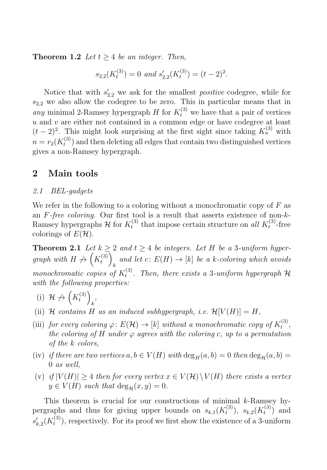**Theorem 1.2** Let  $t > 4$  be an integer. Then,

$$
s_{2,2}(K_t^{(3)}) = 0
$$
 and  $s'_{2,2}(K_t^{(3)}) = (t-2)^2$ .

Notice that with  $s'_{2,2}$  we ask for the smallest *positive* codegree, while for  $s_{2,2}$  we also allow the codegree to be zero. This in particular means that in any minimal 2-Ramsey hypergraph H for  $K_t^{(3)}$  we have that a pair of vertices  $u$  and  $v$  are either not contained in a common edge or have codegree at least  $(t-2)^2$ . This might look surprising at the first sight since taking  $K_n^{(3)}$  with  $n = r_2(K_t^{(3)})$  and then deleting all edges that contain two distinguished vertices gives a non-Ramsey hypergraph.

## **2 Main tools**

#### 2.1 BEL-gadgets

We refer in the following to a coloring without a monochromatic copy of  $F$  as an  $F$ -free coloring. Our first tool is a result that asserts existence of non-k-Ramsey hypergraphs  $\mathcal{H}$  for  $K_t^{(3)}$  that impose certain structure on all  $K_t^{(3)}$ -free colorings of  $E(\mathcal{H})$ .

**Theorem 2.1** Let  $k \geq 2$  and  $t \geq 4$  be integers. Let H be a 3-uniform hypergraph with  $H \nrightarrow (K_t^{(3)})$ and let  $c: E(H) \to [k]$  be a k-coloring which avoids monochromatic copies of  $K_t^{(3)}$ . Then, there exists a 3-uniform hypergraph H with the following properties:

- (i)  $\mathcal{H} \nrightarrow (K_t^{(3)})$ k ,
- (ii) H contains H as an induced subhypergraph, i.e.  $\mathcal{H}[V(H)] = H$ ,
- (iii) for every coloring  $\varphi: E(\mathcal{H}) \to [k]$  without a monochromatic copy of  $K_t^{(3)}$ , the coloring of H under  $\varphi$  agrees with the coloring c, up to a permutation of the k colors,
- (iv) if there are two vertices  $a, b \in V(H)$  with  $\deg_H(a, b) = 0$  then  $\deg_H(a, b) =$ 0 as well,
- (v) if  $|V(H)| \geq 4$  then for every vertex  $x \in V(H) \setminus V(H)$  there exists a vertex  $y \in V(H)$  such that  $\deg_{\mathcal{H}}(x, y)=0$ .

This theorem is crucial for our constructions of minimal k-Ramsey hypergraphs and thus for giving upper bounds on  $s_{k,1}(K_t^{(3)})$ ,  $s_{k,2}(K_t^{(3)})$  and  $s'_{k,2}(K_t^{(3)})$ , respectively. For its proof we first show the existence of a 3-uniform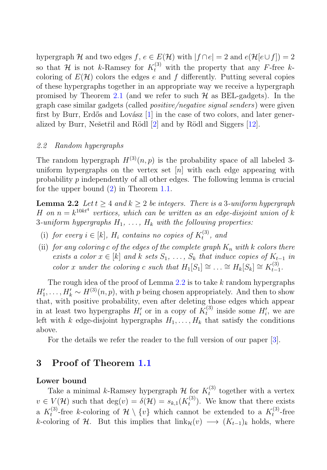hypergraph H and two edges f,  $e \in E(H)$  with  $|f \cap e| = 2$  and  $e(\mathcal{H}[e \cup f]) = 2$ so that H is not k-Ramsey for  $K_t^{(3)}$  with the property that any F-free kcoloring of  $E(\mathcal{H})$  colors the edges e and f differently. Putting several copies of these hypergraphs together in an appropriate way we receive a hypergraph promised by Theorem 2.1 (and we refer to such  $\mathcal{H}$  as BEL-gadgets). In the graph case similar gadgets (called positive/negative signal senders) were given first by Burr, Erdős and Lovász  $[1]$  in the case of two colors, and later generalized by Burr, Nešetřil and Rödl  $[2]$  and by Rödl and Siggers  $[12]$ .

#### 2.2 Random hypergraphs

The random hypergraph  $H^{(3)}(n, p)$  is the probability space of all labeled 3uniform hypergraphs on the vertex set  $[n]$  with each edge appearing with probability p independently of all other edges. The following lemma is crucial for the upper bound (2) in Theorem 1.1.

**Lemma 2.2** Let  $t \geq 4$  and  $k \geq 2$  be integers. There is a 3-uniform hypergraph H on  $n = k^{10kt^4}$  vertices, which can be written as an edge-disjoint union of k 3-uniform hypergraphs  $H_1, \ldots, H_k$  with the following properties:

- (i) for every  $i \in [k]$ ,  $H_i$  contains no copies of  $K_t^{(3)}$ , and
- (ii) for any coloring c of the edges of the complete graph  $K_n$  with k colors there exists a color  $x \in [k]$  and k sets  $S_1, \ldots, S_k$  that induce copies of  $K_{t-1}$  in color x under the coloring c such that  $H_1[S_1] \cong \ldots \cong H_k[S_k] \cong K_{t-1}^{(3)}$ .

The rough idea of the proof of Lemma  $2.2$  is to take  $k$  random hypergraphs  $H'_1, \ldots, H'_k \sim H^{(3)}(n, p)$ , with p being chosen appropriately. And then to show that, with positive probability, even after deleting those edges which appear in at least two hypergraphs  $H'_i$  or in a copy of  $K_t^{(3)}$  inside some  $H'_i$ , we are left with k edge-disjoint hypergraphs  $H_1, \ldots, H_k$  that satisfy the conditions above.

For the details we refer the reader to the full version of our paper [3].

## **3 Proof of Theorem 1.1**

#### **Lower bound**

Take a minimal k-Ramsey hypergraph  $\mathcal{H}$  for  $K_t^{(3)}$  together with a vertex  $v \in V(\mathcal{H})$  such that  $\deg(v) = \delta(\mathcal{H}) = s_{k,1}(K_t^{(3)})$ . We know that there exists a  $K_t^{(3)}$ -free k-coloring of  $\mathcal{H} \setminus \{v\}$  which cannot be extended to a  $K_t^{(3)}$ -free k-coloring of H. But this implies that  $\lim_{k\to\infty}(v) \longrightarrow (K_{t-1})_k$  holds, where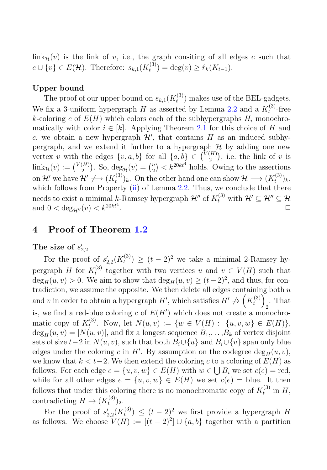$\lim k_{\mathcal{H}}(v)$  is the link of v, i.e., the graph consiting of all edges e such that  $e \cup \{v\} \in E(\mathcal{H})$ . Therefore:  $s_{k,1}(K_t^{(3)}) = \deg(v) \geq \hat{r}_k(K_{t-1})$ .

#### **Upper bound**

The proof of our upper bound on  $s_{k,1}(K_t^{(3)})$  makes use of the BEL-gadgets. We fix a 3-uniform hypergraph H as asserted by Lemma 2.2 and a  $K_t^{(3)}$ -free k-coloring c of  $E(H)$  which colors each of the subhypergraphs  $H_i$  monochromatically with color  $i \in [k]$ . Applying Theorem 2.1 for this choice of H and c, we obtain a new hypergraph  $\mathcal{H}'$ , that contains  $H$  as an induced subhypergraph, and we extend it further to a hypergraph  $H$  by adding one new vertex v with the edges  $\{v, a, b\}$  for all  $\{a, b\} \in {\binom{V(H)}{2}}$  $\binom{H}{2}$ , i.e. the link of v is  $\operatorname{link}_{\mathcal{H}}(v) := \binom{V(H)}{2}$  $\binom{H}{2}$ . So,  $\deg_{\mathcal{H}}(v) = \binom{n}{2}$  $\binom{n}{2} < k^{20kt^4}$  holds. Owing to the assertions on H' we have  $\mathcal{H}' \nrightarrow (K_t^{(3)})_k$ . On the other hand one can show  $\mathcal{H} \longrightarrow (K_t^{(3)})_k$ , which follows from Property (ii) of Lemma 2.2. Thus, we conclude that there needs to exist a minimal k-Ramsey hypergraph  $\mathcal{H}''$  of  $K_t^{(3)}$  with  $\mathcal{H}' \subseteq \mathcal{H}'' \subseteq \mathcal{H}$ and  $0 < \deg_{\mathcal{H}''}(v) < k^{20kt^4}$ . The contract of the contract of the contract of  $\Box$ 

# **4 Proof of Theorem 1.2**

# The size of  $s'_{2,2}$

For the proof of  $s'_{2,2}(K_t^{(3)}) \ge (t-2)^2$  we take a minimal 2-Ramsey hypergraph H for  $K_t^{(3)}$  together with two vertices u and  $v \in V(H)$  such that  $\deg_H(u, v) > 0$ . We aim to show that  $\deg_H(u, v) \ge (t-2)^2$ , and thus, for contradiction, we assume the opposite. We then delete all edges containing both  $u$ and v in order to obtain a hypergraph  $H'$ , which satisfies  $H' \nleftrightarrow (K_t^{(3)})$ . That is, we find a red-blue coloring c of  $E(H')$  which does not create a monochromatic copy of  $K_t^{(3)}$ . Now, let  $N(u, v) := \{w \in V(H) : \{u, v, w\} \in E(H)\},\$  $\deg_H(u, v) = |N(u, v)|$ , and fix a longest sequence  $B_1, \ldots, B_k$  of vertex disjoint sets of size  $t-2$  in  $N(u, v)$ , such that both  $B_i \cup \{u\}$  and  $B_i \cup \{v\}$  span only blue edges under the coloring c in H'. By assumption on the codegree  $\deg_H(u, v)$ , we know that  $k < t-2$ . We then extend the coloring c to a coloring of  $E(H)$  as follows. For each edge  $e = \{u, v, w\} \in E(H)$  with  $w \in \bigcup B_i$  we set  $c(e) = \text{red}$ , while for all other edges  $e = \{u, v, w\} \in E(H)$  we set  $c(e) =$  blue. It then follows that under this coloring there is no monochromatic copy of  $K_t^{(3)}$  in H, contradicting  $H \to (K_t^{(3)})_2$ .

For the proof of  $s'_{2,2}(K_t^{(3)}) \leq (t-2)^2$  we first provide a hypergraph H as follows. We choose  $V(H) := [(t-2)^2] \cup \{a, b\}$  together with a partition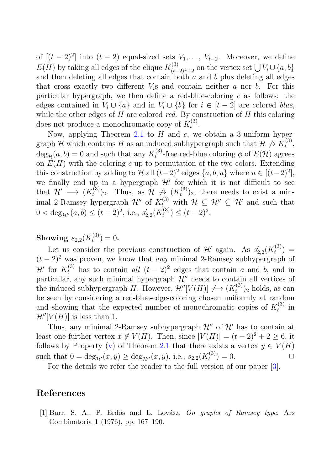of  $[(t-2)^2]$  into  $(t-2)$  equal-sized sets  $V_1, \ldots, V_{t-2}$ . Moreover, we define  $E(H)$  by taking all edges of the clique  $K_{(t-2)^2+2}^{(3)}$  on the vertex set  $\bigcup V_i \cup \{a, b\}$ and then deleting all edges that contain both  $\overline{a}$  and  $\overline{b}$  plus deleting all edges that cross exactly two different  $V_i$ s and contain neither a nor b. For this particular hypergraph, we then define a red-blue-coloring  $c$  as follows: the edges contained in  $V_i \cup \{a\}$  and in  $V_i \cup \{b\}$  for  $i \in [t-2]$  are colored *blue*, while the other edges of  $H$  are colored red. By construction of  $H$  this coloring does not produce a monochromatic copy of  $K_t^{(3)}$ .

Now, applying Theorem 2.1 to  $H$  and  $c$ , we obtain a 3-uniform hypergraph H which contains H as an induced subhypergraph such that  $\mathcal{H} \nrightarrow K_t^{(3)}$ ,  $deg_{\mathcal{H}}(a, b) = 0$  and such that any  $K_t^{(3)}$ -free red-blue coloring  $\phi$  of  $E(\mathcal{H})$  agrees on  $E(H)$  with the coloring c up to permutation of the two colors. Extending this construction by adding to H all  $(t-2)^2$  edges  $\{a, b, u\}$  where  $u \in [(t-2)^2]$ , we finally end up in a hypergraph  $\mathcal{H}'$  for which it is not difficult to see that  $\mathcal{H}' \longrightarrow (K_t^{(3)})_2$ . Thus, as  $\mathcal{H} \nrightarrow (K_t^{(3)})_2$ , there needs to exist a minimal 2-Ramsey hypergraph  $\mathcal{H}''$  of  $K_{t_{(2)}}^{(3)}$  with  $\mathcal{H} \subseteq \mathcal{H}'' \subseteq \mathcal{H}'$  and such that  $0 < \deg_{\mathcal{H}''}(a, b) \le (t-2)^2$ , i.e.,  $s'_{2,2}(K_t^{(3)}) \le (t-2)^2$ .

**Showing**  $s_{2,2}(K_t^{(3)}) = 0$ .

Let us consider the previous construction of  $\mathcal{H}'$  again. As  $s'_{2,2}(K_t^{(3)}) =$  $(t-2)^2$  was proven, we know that any minimal 2-Ramsey subhypergraph of  $\mathcal{H}'$  for  $K_t^{(3)}$  has to contain all  $(t-2)^2$  edges that contain a and b, and in particular, any such minimal hypergraph  $\mathcal{H}$ " needs to contain all vertices of the induced subhypergraph H. However,  $\mathcal{H}''[V(H)] \nightharpoonup (K_t^{(3)})_2$  holds, as can be seen by considering a red-blue-edge-coloring chosen uniformly at random and showing that the expected number of monochromatic copies of  $K_t^{(3)}$  in  $\mathcal{H}''[V(H)]$  is less than 1.

Thus, any minimal 2-Ramsey subhypergraph  $\mathcal{H}''$  of  $\mathcal{H}'$  has to contain at least one further vertex  $x \notin V(H)$ . Then, since  $|V(H)| = (t-2)^2 + 2 \ge 6$ , it follows by Property (v) of Theorem 2.1 that there exists a vertex  $y \in V(H)$ such that  $0 = \deg_{\mathcal{H}'}(x, y) \ge \deg_{\mathcal{H}''}(x, y)$ , i.e.,  $s_{2,2}(K_t^{(3)}) = 0$ .

For the details we refer the reader to the full version of our paper [3].

#### **References**

[1] Burr, S. A., P. Erdős and L. Lovász, On graphs of Ramsey type, Ars Combinatoria **1** (1976), pp. 167–190.